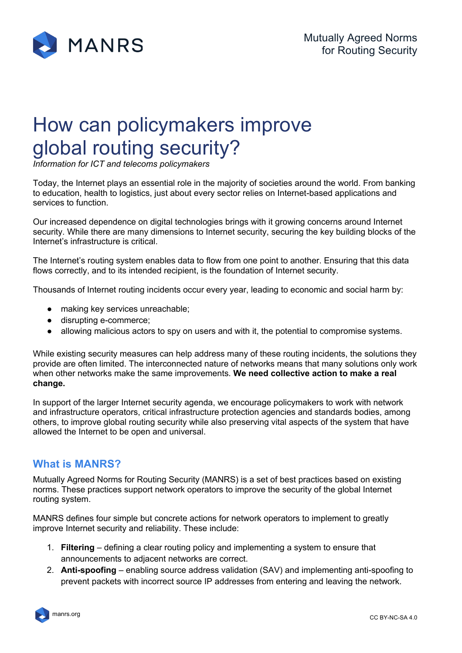

# How can policymakers improve global routing security?

*Information for ICT and telecoms policymakers* 

Today, the Internet plays an essential role in the majority of societies around the world. From banking to education, health to logistics, just about every sector relies on Internet-based applications and services to function.

Our increased dependence on digital technologies brings with it growing concerns around Internet security. While there are many dimensions to Internet security, securing the key building blocks of the Internet's infrastructure is critical.

The Internet's routing system enables data to flow from one point to another. Ensuring that this data flows correctly, and to its intended recipient, is the foundation of Internet security.

Thousands of Internet routing incidents occur every year, leading to economic and social harm by:

- making key services unreachable;
- disrupting e-commerce;
- allowing malicious actors to spy on users and with it, the potential to compromise systems.

While existing security measures can help address many of these routing incidents, the solutions they provide are often limited. The interconnected nature of networks means that many solutions only work when other networks make the same improvements. **We need collective action to make a real change.**

In support of the larger Internet security agenda, we encourage policymakers to work with network and infrastructure operators, critical infrastructure protection agencies and standards bodies, among others, to improve global routing security while also preserving vital aspects of the system that have allowed the Internet to be open and universal.

# **What is MANRS?**

Mutually Agreed Norms for Routing Security (MANRS) is a set of best practices based on existing norms. These practices support network operators to improve the security of the global Internet routing system.

MANRS defines four simple but concrete actions for network operators to implement to greatly improve Internet security and reliability. These include:

- 1. **Filtering** defining a clear routing policy and implementing a system to ensure that announcements to adjacent networks are correct.
- 2. **Anti-spoofing** enabling source address validation (SAV) and implementing anti-spoofing to prevent packets with incorrect source IP addresses from entering and leaving the network.

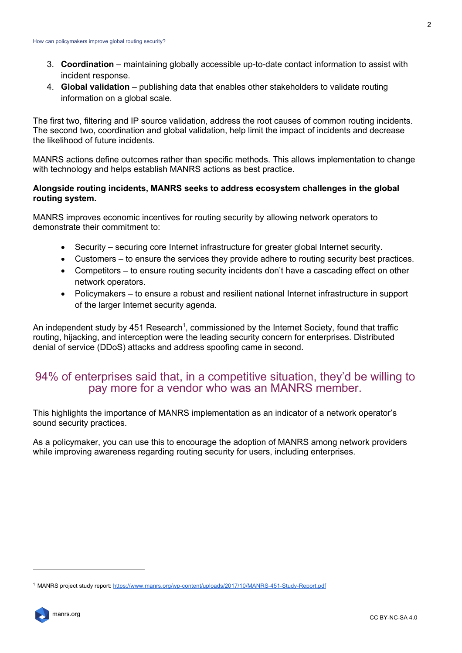- 3. **Coordination** maintaining globally accessible up-to-date contact information to assist with incident response.
- 4. **Global validation** publishing data that enables other stakeholders to validate routing information on a global scale.

The first two, filtering and IP source validation, address the root causes of common routing incidents. The second two, coordination and global validation, help limit the impact of incidents and decrease the likelihood of future incidents.

MANRS actions define outcomes rather than specific methods. This allows implementation to change with technology and helps establish MANRS actions as best practice.

#### **Alongside routing incidents, MANRS seeks to address ecosystem challenges in the global routing system.**

MANRS improves economic incentives for routing security by allowing network operators to demonstrate their commitment to:

- Security securing core Internet infrastructure for greater global Internet security.
- Customers to ensure the services they provide adhere to routing security best practices.
- Competitors to ensure routing security incidents don't have a cascading effect on other network operators.
- Policymakers to ensure a robust and resilient national Internet infrastructure in support of the larger Internet security agenda.

An independent study by 451 Research<sup>1</sup>, commissioned by the Internet Society, found that traffic routing, hijacking, and interception were the leading security concern for enterprises. Distributed denial of service (DDoS) attacks and address spoofing came in second.

# 94% of enterprises said that, in a competitive situation, they'd be willing to pay more for a vendor who was an MANRS member.

This highlights the importance of MANRS implementation as an indicator of a network operator's sound security practices.

As a policymaker, you can use this to encourage the adoption of MANRS among network providers while improving awareness regarding routing security for users, including enterprises.

<sup>1</sup> MANRS project study report: https://www.manrs.org/wp-content/uploads/2017/10/MANRS-451-Study-Report.pdf

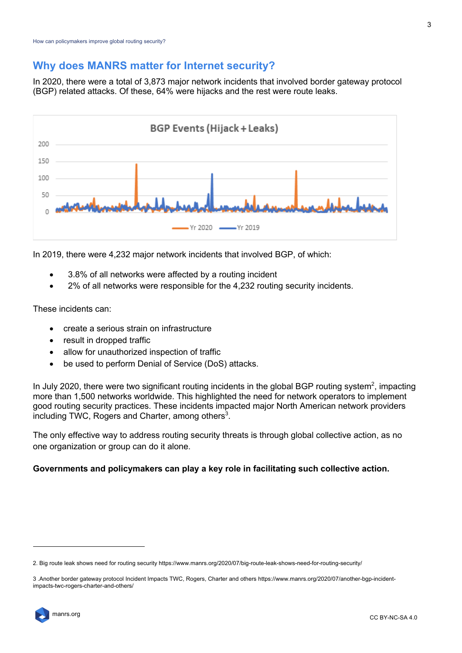### **Why does MANRS matter for Internet security?**

In 2020, there were a total of 3,873 major network incidents that involved border gateway protocol (BGP) related attacks. Of these, 64% were hijacks and the rest were route leaks.



In 2019, there were 4,232 major network incidents that involved BGP, of which:

- 3.8% of all networks were affected by a routing incident
- 2% of all networks were responsible for the 4,232 routing security incidents.

These incidents can:

- create a serious strain on infrastructure
- result in dropped traffic
- allow for unauthorized inspection of traffic
- be used to perform Denial of Service (DoS) attacks.

In July 2020, there were two significant routing incidents in the global BGP routing system<sup>2</sup>, impacting more than 1,500 networks worldwide. This highlighted the need for network operators to implement good routing security practices. These incidents impacted major North American network providers including TWC, Rogers and Charter, among others<sup>3</sup>.

The only effective way to address routing security threats is through global collective action, as no one organization or group can do it alone.

#### **Governments and policymakers can play a key role in facilitating such collective action.**

<sup>3</sup> .Another border gateway protocol Incident Impacts TWC, Rogers, Charter and others https://www.manrs.org/2020/07/another-bgp-incidentimpacts-twc-rogers-charter-and-others/



<sup>2.</sup> Big route leak shows need for routing security https://www.manrs.org/2020/07/big-route-leak-shows-need-for-routing-security/